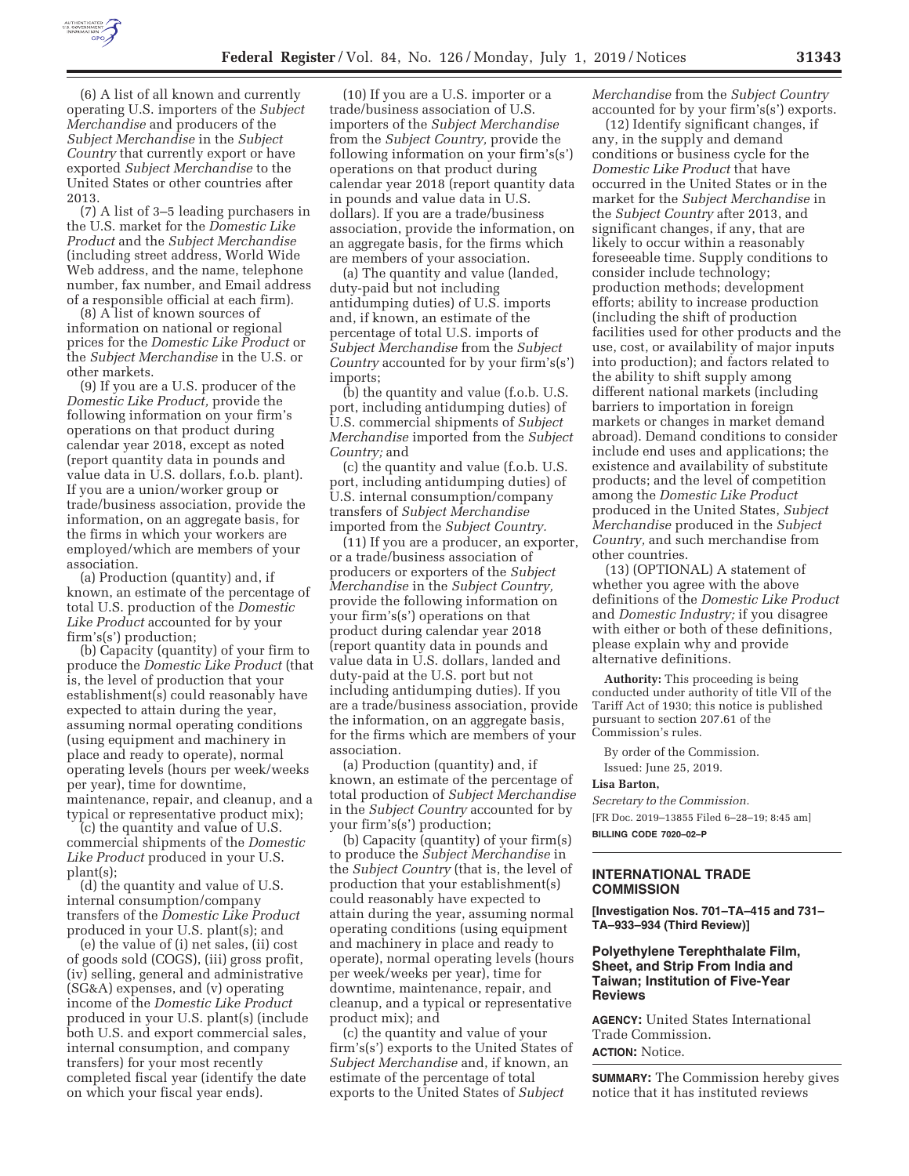

(6) A list of all known and currently operating U.S. importers of the *Subject Merchandise* and producers of the *Subject Merchandise* in the *Subject Country* that currently export or have exported *Subject Merchandise* to the United States or other countries after 2013.

(7) A list of 3–5 leading purchasers in the U.S. market for the *Domestic Like Product* and the *Subject Merchandise*  (including street address, World Wide Web address, and the name, telephone number, fax number, and Email address of a responsible official at each firm).

(8) A list of known sources of information on national or regional prices for the *Domestic Like Product* or the *Subject Merchandise* in the U.S. or other markets.

(9) If you are a U.S. producer of the *Domestic Like Product,* provide the following information on your firm's operations on that product during calendar year 2018, except as noted (report quantity data in pounds and value data in U.S. dollars, f.o.b. plant). If you are a union/worker group or trade/business association, provide the information, on an aggregate basis, for the firms in which your workers are employed/which are members of your association.

(a) Production (quantity) and, if known, an estimate of the percentage of total U.S. production of the *Domestic Like Product* accounted for by your firm's(s') production;

(b) Capacity (quantity) of your firm to produce the *Domestic Like Product* (that is, the level of production that your establishment(s) could reasonably have expected to attain during the year, assuming normal operating conditions (using equipment and machinery in place and ready to operate), normal operating levels (hours per week/weeks per year), time for downtime, maintenance, repair, and cleanup, and a typical or representative product mix);

(c) the quantity and value of U.S. commercial shipments of the *Domestic Like Product* produced in your U.S. plant(s);

(d) the quantity and value of U.S. internal consumption/company transfers of the *Domestic Like Product*  produced in your U.S. plant(s); and

(e) the value of (i) net sales, (ii) cost of goods sold (COGS), (iii) gross profit, (iv) selling, general and administrative (SG&A) expenses, and (v) operating income of the *Domestic Like Product*  produced in your U.S. plant(s) (include both U.S. and export commercial sales, internal consumption, and company transfers) for your most recently completed fiscal year (identify the date on which your fiscal year ends).

(10) If you are a U.S. importer or a trade/business association of U.S. importers of the *Subject Merchandise*  from the *Subject Country,* provide the following information on your firm's(s') operations on that product during calendar year 2018 (report quantity data in pounds and value data in U.S. dollars). If you are a trade/business association, provide the information, on an aggregate basis, for the firms which are members of your association.

(a) The quantity and value (landed, duty-paid but not including antidumping duties) of U.S. imports and, if known, an estimate of the percentage of total U.S. imports of *Subject Merchandise* from the *Subject Country* accounted for by your firm's(s') imports;

(b) the quantity and value (f.o.b. U.S. port, including antidumping duties) of U.S. commercial shipments of *Subject Merchandise* imported from the *Subject Country;* and

(c) the quantity and value (f.o.b. U.S. port, including antidumping duties) of U.S. internal consumption/company transfers of *Subject Merchandise*  imported from the *Subject Country.* 

(11) If you are a producer, an exporter, or a trade/business association of producers or exporters of the *Subject Merchandise* in the *Subject Country,*  provide the following information on your firm's(s') operations on that product during calendar year 2018 (report quantity data in pounds and value data in U.S. dollars, landed and duty-paid at the U.S. port but not including antidumping duties). If you are a trade/business association, provide the information, on an aggregate basis, for the firms which are members of your association.

(a) Production (quantity) and, if known, an estimate of the percentage of total production of *Subject Merchandise*  in the *Subject Country* accounted for by your firm's(s') production;

(b) Capacity (quantity) of your firm(s) to produce the *Subject Merchandise* in the *Subject Country* (that is, the level of production that your establishment(s) could reasonably have expected to attain during the year, assuming normal operating conditions (using equipment and machinery in place and ready to operate), normal operating levels (hours per week/weeks per year), time for downtime, maintenance, repair, and cleanup, and a typical or representative product mix); and

(c) the quantity and value of your firm's(s') exports to the United States of *Subject Merchandise* and, if known, an estimate of the percentage of total exports to the United States of *Subject* 

*Merchandise* from the *Subject Country*  accounted for by your firm's(s') exports.

(12) Identify significant changes, if any, in the supply and demand conditions or business cycle for the *Domestic Like Product* that have occurred in the United States or in the market for the *Subject Merchandise* in the *Subject Country* after 2013, and significant changes, if any, that are likely to occur within a reasonably foreseeable time. Supply conditions to consider include technology; production methods; development efforts; ability to increase production (including the shift of production facilities used for other products and the use, cost, or availability of major inputs into production); and factors related to the ability to shift supply among different national markets (including barriers to importation in foreign markets or changes in market demand abroad). Demand conditions to consider include end uses and applications; the existence and availability of substitute products; and the level of competition among the *Domestic Like Product*  produced in the United States, *Subject Merchandise* produced in the *Subject Country,* and such merchandise from other countries.

(13) (OPTIONAL) A statement of whether you agree with the above definitions of the *Domestic Like Product*  and *Domestic Industry;* if you disagree with either or both of these definitions, please explain why and provide alternative definitions.

**Authority:** This proceeding is being conducted under authority of title VII of the Tariff Act of 1930; this notice is published pursuant to section 207.61 of the Commission's rules.

By order of the Commission. Issued: June 25, 2019.

#### **Lisa Barton,**

*Secretary to the Commission.*  [FR Doc. 2019–13855 Filed 6–28–19; 8:45 am] **BILLING CODE 7020–02–P** 

# **INTERNATIONAL TRADE COMMISSION**

**[Investigation Nos. 701–TA–415 and 731– TA–933–934 (Third Review)]** 

## **Polyethylene Terephthalate Film, Sheet, and Strip From India and Taiwan; Institution of Five-Year Reviews**

**AGENCY:** United States International Trade Commission. **ACTION:** Notice.

**SUMMARY:** The Commission hereby gives notice that it has instituted reviews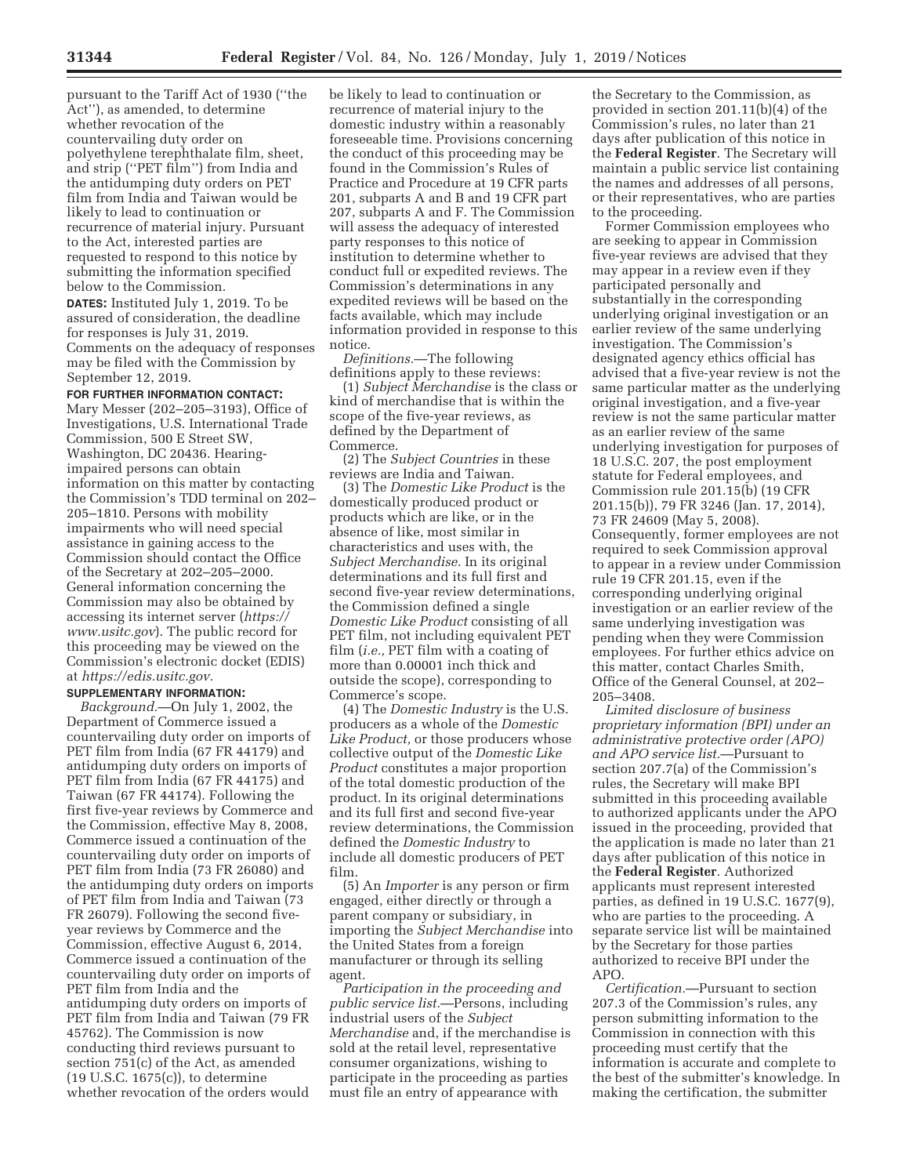pursuant to the Tariff Act of 1930 (''the Act''), as amended, to determine whether revocation of the countervailing duty order on polyethylene terephthalate film, sheet, and strip (''PET film'') from India and the antidumping duty orders on PET film from India and Taiwan would be likely to lead to continuation or recurrence of material injury. Pursuant to the Act, interested parties are requested to respond to this notice by submitting the information specified below to the Commission.

**DATES:** Instituted July 1, 2019. To be assured of consideration, the deadline for responses is July 31, 2019. Comments on the adequacy of responses may be filed with the Commission by September 12, 2019.

**FOR FURTHER INFORMATION CONTACT:**  Mary Messer (202–205–3193), Office of Investigations, U.S. International Trade Commission, 500 E Street SW, Washington, DC 20436. Hearingimpaired persons can obtain information on this matter by contacting the Commission's TDD terminal on 202– 205–1810. Persons with mobility impairments who will need special assistance in gaining access to the Commission should contact the Office of the Secretary at 202–205–2000. General information concerning the Commission may also be obtained by accessing its internet server (*https:// www.usitc.gov*). The public record for this proceeding may be viewed on the Commission's electronic docket (EDIS) at *https://edis.usitc.gov.* 

### **SUPPLEMENTARY INFORMATION:**

*Background.*—On July 1, 2002, the Department of Commerce issued a countervailing duty order on imports of PET film from India (67 FR 44179) and antidumping duty orders on imports of PET film from India (67 FR 44175) and Taiwan (67 FR 44174). Following the first five-year reviews by Commerce and the Commission, effective May 8, 2008, Commerce issued a continuation of the countervailing duty order on imports of PET film from India (73 FR 26080) and the antidumping duty orders on imports of PET film from India and Taiwan (73 FR 26079). Following the second fiveyear reviews by Commerce and the Commission, effective August 6, 2014, Commerce issued a continuation of the countervailing duty order on imports of PET film from India and the antidumping duty orders on imports of PET film from India and Taiwan (79 FR 45762). The Commission is now conducting third reviews pursuant to section 751(c) of the Act, as amended (19 U.S.C. 1675(c)), to determine whether revocation of the orders would

be likely to lead to continuation or recurrence of material injury to the domestic industry within a reasonably foreseeable time. Provisions concerning the conduct of this proceeding may be found in the Commission's Rules of Practice and Procedure at 19 CFR parts 201, subparts A and B and 19 CFR part 207, subparts A and F. The Commission will assess the adequacy of interested party responses to this notice of institution to determine whether to conduct full or expedited reviews. The Commission's determinations in any expedited reviews will be based on the facts available, which may include information provided in response to this notice.

*Definitions.*—The following definitions apply to these reviews:

(1) *Subject Merchandise* is the class or kind of merchandise that is within the scope of the five-year reviews, as defined by the Department of Commerce.

(2) The *Subject Countries* in these reviews are India and Taiwan.

(3) The *Domestic Like Product* is the domestically produced product or products which are like, or in the absence of like, most similar in characteristics and uses with, the *Subject Merchandise.* In its original determinations and its full first and second five-year review determinations, the Commission defined a single *Domestic Like Product* consisting of all PET film, not including equivalent PET film (*i.e.,* PET film with a coating of more than 0.00001 inch thick and outside the scope), corresponding to Commerce's scope.

(4) The *Domestic Industry* is the U.S. producers as a whole of the *Domestic Like Product,* or those producers whose collective output of the *Domestic Like Product* constitutes a major proportion of the total domestic production of the product. In its original determinations and its full first and second five-year review determinations, the Commission defined the *Domestic Industry* to include all domestic producers of PET film.

(5) An *Importer* is any person or firm engaged, either directly or through a parent company or subsidiary, in importing the *Subject Merchandise* into the United States from a foreign manufacturer or through its selling agent.

*Participation in the proceeding and public service list.*—Persons, including industrial users of the *Subject Merchandise* and, if the merchandise is sold at the retail level, representative consumer organizations, wishing to participate in the proceeding as parties must file an entry of appearance with

the Secretary to the Commission, as provided in section 201.11(b)(4) of the Commission's rules, no later than 21 days after publication of this notice in the **Federal Register**. The Secretary will maintain a public service list containing the names and addresses of all persons, or their representatives, who are parties to the proceeding.

Former Commission employees who are seeking to appear in Commission five-year reviews are advised that they may appear in a review even if they participated personally and substantially in the corresponding underlying original investigation or an earlier review of the same underlying investigation. The Commission's designated agency ethics official has advised that a five-year review is not the same particular matter as the underlying original investigation, and a five-year review is not the same particular matter as an earlier review of the same underlying investigation for purposes of 18 U.S.C. 207, the post employment statute for Federal employees, and Commission rule 201.15(b) (19 CFR 201.15(b)), 79 FR 3246 (Jan. 17, 2014), 73 FR 24609 (May 5, 2008). Consequently, former employees are not required to seek Commission approval to appear in a review under Commission rule 19 CFR 201.15, even if the corresponding underlying original investigation or an earlier review of the same underlying investigation was pending when they were Commission employees. For further ethics advice on this matter, contact Charles Smith, Office of the General Counsel, at 202– 205–3408.

*Limited disclosure of business proprietary information (BPI) under an administrative protective order (APO) and APO service list.*—Pursuant to section 207.7(a) of the Commission's rules, the Secretary will make BPI submitted in this proceeding available to authorized applicants under the APO issued in the proceeding, provided that the application is made no later than 21 days after publication of this notice in the **Federal Register**. Authorized applicants must represent interested parties, as defined in 19 U.S.C. 1677(9), who are parties to the proceeding. A separate service list will be maintained by the Secretary for those parties authorized to receive BPI under the APO.

*Certification.*—Pursuant to section 207.3 of the Commission's rules, any person submitting information to the Commission in connection with this proceeding must certify that the information is accurate and complete to the best of the submitter's knowledge. In making the certification, the submitter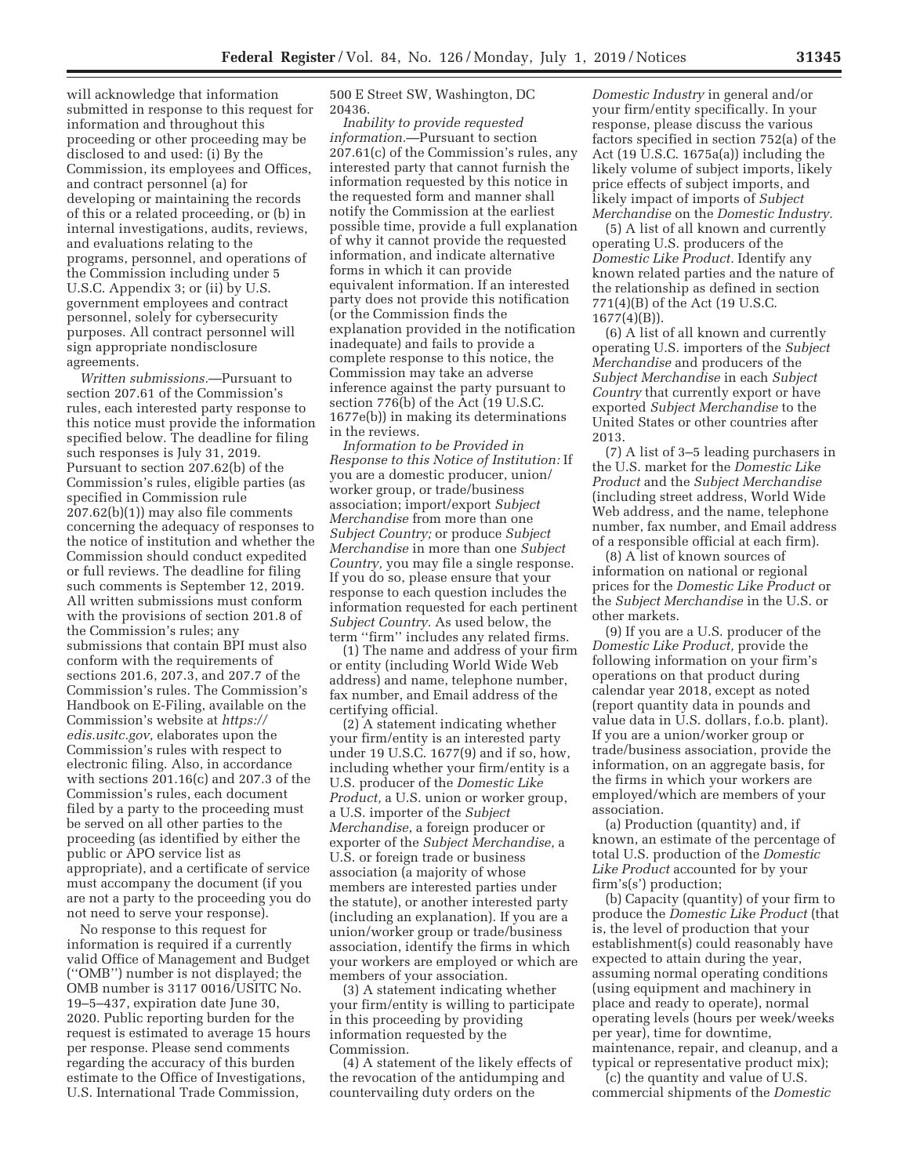will acknowledge that information submitted in response to this request for information and throughout this proceeding or other proceeding may be disclosed to and used: (i) By the Commission, its employees and Offices, and contract personnel (a) for developing or maintaining the records of this or a related proceeding, or (b) in internal investigations, audits, reviews, and evaluations relating to the programs, personnel, and operations of the Commission including under 5 U.S.C. Appendix 3; or (ii) by U.S. government employees and contract personnel, solely for cybersecurity purposes. All contract personnel will sign appropriate nondisclosure agreements.

*Written submissions.*—Pursuant to section 207.61 of the Commission's rules, each interested party response to this notice must provide the information specified below. The deadline for filing such responses is July 31, 2019. Pursuant to section 207.62(b) of the Commission's rules, eligible parties (as specified in Commission rule 207.62(b)(1)) may also file comments concerning the adequacy of responses to the notice of institution and whether the Commission should conduct expedited or full reviews. The deadline for filing such comments is September 12, 2019. All written submissions must conform with the provisions of section 201.8 of the Commission's rules; any submissions that contain BPI must also conform with the requirements of sections 201.6, 207.3, and 207.7 of the Commission's rules. The Commission's Handbook on E-Filing, available on the Commission's website at *https:// edis.usitc.gov,* elaborates upon the Commission's rules with respect to electronic filing. Also, in accordance with sections 201.16(c) and 207.3 of the Commission's rules, each document filed by a party to the proceeding must be served on all other parties to the proceeding (as identified by either the public or APO service list as appropriate), and a certificate of service must accompany the document (if you are not a party to the proceeding you do not need to serve your response).

No response to this request for information is required if a currently valid Office of Management and Budget (''OMB'') number is not displayed; the OMB number is 3117 0016/USITC No. 19–5–437, expiration date June 30, 2020. Public reporting burden for the request is estimated to average 15 hours per response. Please send comments regarding the accuracy of this burden estimate to the Office of Investigations, U.S. International Trade Commission,

500 E Street SW, Washington, DC 20436.

*Inability to provide requested information.*—Pursuant to section 207.61(c) of the Commission's rules, any interested party that cannot furnish the information requested by this notice in the requested form and manner shall notify the Commission at the earliest possible time, provide a full explanation of why it cannot provide the requested information, and indicate alternative forms in which it can provide equivalent information. If an interested party does not provide this notification (or the Commission finds the explanation provided in the notification inadequate) and fails to provide a complete response to this notice, the Commission may take an adverse inference against the party pursuant to section 776(b) of the Act (19 U.S.C. 1677e(b)) in making its determinations in the reviews.

*Information to be Provided in Response to this Notice of Institution:* If you are a domestic producer, union/ worker group, or trade/business association; import/export *Subject Merchandise* from more than one *Subject Country;* or produce *Subject Merchandise* in more than one *Subject Country,* you may file a single response. If you do so, please ensure that your response to each question includes the information requested for each pertinent *Subject Country.* As used below, the term "firm" includes any related firms.

(1) The name and address of your firm or entity (including World Wide Web address) and name, telephone number, fax number, and Email address of the certifying official.

(2) A statement indicating whether your firm/entity is an interested party under 19 U.S.C. 1677(9) and if so, how, including whether your firm/entity is a U.S. producer of the *Domestic Like Product,* a U.S. union or worker group, a U.S. importer of the *Subject Merchandise*, a foreign producer or exporter of the *Subject Merchandise,* a U.S. or foreign trade or business association (a majority of whose members are interested parties under the statute), or another interested party (including an explanation). If you are a union/worker group or trade/business association, identify the firms in which your workers are employed or which are members of your association.

(3) A statement indicating whether your firm/entity is willing to participate in this proceeding by providing information requested by the Commission.

(4) A statement of the likely effects of the revocation of the antidumping and countervailing duty orders on the

*Domestic Industry* in general and/or your firm/entity specifically. In your response, please discuss the various factors specified in section 752(a) of the Act (19 U.S.C. 1675a(a)) including the likely volume of subject imports, likely price effects of subject imports, and likely impact of imports of *Subject Merchandise* on the *Domestic Industry.* 

(5) A list of all known and currently operating U.S. producers of the *Domestic Like Product.* Identify any known related parties and the nature of the relationship as defined in section 771(4)(B) of the Act (19 U.S.C. 1677(4)(B)).

(6) A list of all known and currently operating U.S. importers of the *Subject Merchandise* and producers of the *Subject Merchandise* in each *Subject Country* that currently export or have exported *Subject Merchandise* to the United States or other countries after 2013.

(7) A list of 3–5 leading purchasers in the U.S. market for the *Domestic Like Product* and the *Subject Merchandise*  (including street address, World Wide Web address, and the name, telephone number, fax number, and Email address of a responsible official at each firm).

(8) A list of known sources of information on national or regional prices for the *Domestic Like Product* or the *Subject Merchandise* in the U.S. or other markets.

(9) If you are a U.S. producer of the *Domestic Like Product,* provide the following information on your firm's operations on that product during calendar year 2018, except as noted (report quantity data in pounds and value data in U.S. dollars, f.o.b. plant). If you are a union/worker group or trade/business association, provide the information, on an aggregate basis, for the firms in which your workers are employed/which are members of your association.

(a) Production (quantity) and, if known, an estimate of the percentage of total U.S. production of the *Domestic Like Product* accounted for by your firm's(s') production;

(b) Capacity (quantity) of your firm to produce the *Domestic Like Product* (that is, the level of production that your establishment(s) could reasonably have expected to attain during the year, assuming normal operating conditions (using equipment and machinery in place and ready to operate), normal operating levels (hours per week/weeks per year), time for downtime, maintenance, repair, and cleanup, and a typical or representative product mix);

(c) the quantity and value of U.S. commercial shipments of the *Domestic*